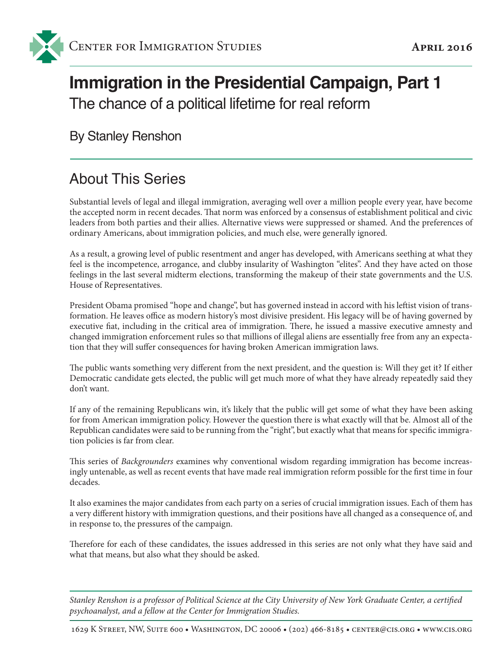

# **Immigration in the Presidential Campaign, Part 1** The chance of a political lifetime for real reform

By Stanley Renshon

## About This Series

Substantial levels of legal and illegal immigration, averaging well over a million people every year, have become the accepted norm in recent decades. That norm was enforced by a consensus of establishment political and civic leaders from both parties and their allies. Alternative views were suppressed or shamed. And the preferences of ordinary Americans, about immigration policies, and much else, were generally ignored.

As a result, a growing level of public resentment and anger has developed, with Americans seething at what they feel is the incompetence, arrogance, and clubby insularity of Washington "elites". And they have acted on those feelings in the last several midterm elections, transforming the makeup of their state governments and the U.S. House of Representatives.

President Obama promised "hope and change", but has governed instead in accord with his leftist vision of transformation. He leaves office as modern history's most divisive president. His legacy will be of having governed by executive fiat, including in the critical area of immigration. There, he issued a massive executive amnesty and changed immigration enforcement rules so that millions of illegal aliens are essentially free from any an expectation that they will suffer consequences for having broken American immigration laws.

The public wants something very different from the next president, and the question is: Will they get it? If either Democratic candidate gets elected, the public will get much more of what they have already repeatedly said they don't want.

If any of the remaining Republicans win, it's likely that the public will get some of what they have been asking for from American immigration policy. However the question there is what exactly will that be. Almost all of the Republican candidates were said to be running from the "right", but exactly what that means for specific immigration policies is far from clear.

This series of *Backgrounders* examines why conventional wisdom regarding immigration has become increasingly untenable, as well as recent events that have made real immigration reform possible for the first time in four decades.

It also examines the major candidates from each party on a series of crucial immigration issues. Each of them has a very different history with immigration questions, and their positions have all changed as a consequence of, and in response to, the pressures of the campaign.

Therefore for each of these candidates, the issues addressed in this series are not only what they have said and what that means, but also what they should be asked.

*Stanley Renshon is a professor of Political Science at the City University of New York Graduate Center, a certified psychoanalyst, and a fellow at the Center for Immigration Studies.*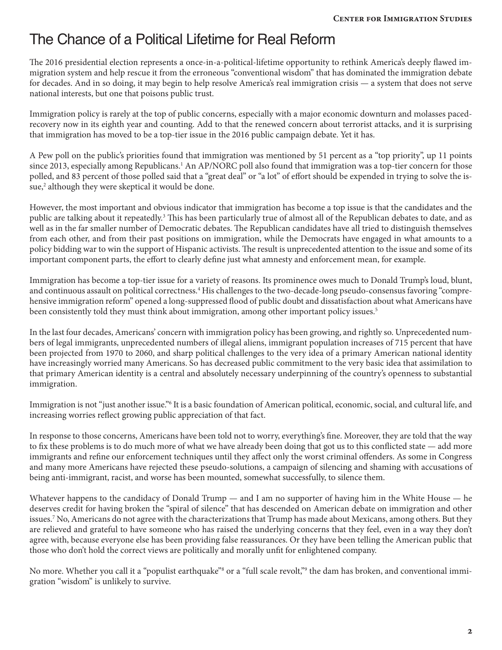#### The Chance of a Political Lifetime for Real Reform

The 2016 presidential election represents a once-in-a-political-lifetime opportunity to rethink America's deeply flawed immigration system and help rescue it from the erroneous "conventional wisdom" that has dominated the immigration debate for decades. And in so doing, it may begin to help resolve America's real immigration crisis — a system that does not serve national interests, but one that poisons public trust.

Immigration policy is rarely at the top of public concerns, especially with a major economic downturn and molasses pacedrecovery now in its eighth year and counting. Add to that the renewed concern about terrorist attacks, and it is surprising that immigration has moved to be a top-tier issue in the 2016 public campaign debate. Yet it has.

A Pew poll on the public's priorities found that immigration was mentioned by 51 percent as a "top priority", up 11 points since 2013, especially among Republicans.<sup>1</sup> An AP/NORC poll also found that immigration was a top-tier concern for those polled, and 83 percent of those polled said that a "great deal" or "a lot" of effort should be expended in trying to solve the issue,<sup>2</sup> although they were skeptical it would be done.

However, the most important and obvious indicator that immigration has become a top issue is that the candidates and the public are talking about it repeatedly.<sup>3</sup> This has been particularly true of almost all of the Republican debates to date, and as well as in the far smaller number of Democratic debates. The Republican candidates have all tried to distinguish themselves from each other, and from their past positions on immigration, while the Democrats have engaged in what amounts to a policy bidding war to win the support of Hispanic activists. The result is unprecedented attention to the issue and some of its important component parts, the effort to clearly define just what amnesty and enforcement mean, for example.

Immigration has become a top-tier issue for a variety of reasons. Its prominence owes much to Donald Trump's loud, blunt, and continuous assault on political correctness.<sup>4</sup> His challenges to the two-decade-long pseudo-consensus favoring "comprehensive immigration reform" opened a long-suppressed flood of public doubt and dissatisfaction about what Americans have been consistently told they must think about immigration, among other important policy issues.<sup>5</sup>

In the last four decades, Americans' concern with immigration policy has been growing, and rightly so. Unprecedented numbers of legal immigrants, unprecedented numbers of illegal aliens, immigrant population increases of 715 percent that have been projected from 1970 to 2060, and sharp political challenges to the very idea of a primary American national identity have increasingly worried many Americans. So has decreased public commitment to the very basic idea that assimilation to that primary American identity is a central and absolutely necessary underpinning of the country's openness to substantial immigration.

Immigration is not "just another issue."<sup>6</sup> It is a basic foundation of American political, economic, social, and cultural life, and increasing worries reflect growing public appreciation of that fact.

In response to those concerns, Americans have been told not to worry, everything's fine. Moreover, they are told that the way to fix these problems is to do much more of what we have already been doing that got us to this conflicted state — add more immigrants and refine our enforcement techniques until they affect only the worst criminal offenders. As some in Congress and many more Americans have rejected these pseudo-solutions, a campaign of silencing and shaming with accusations of being anti-immigrant, racist, and worse has been mounted, somewhat successfully, to silence them.

Whatever happens to the candidacy of Donald Trump — and I am no supporter of having him in the White House — he deserves credit for having broken the "spiral of silence" that has descended on American debate on immigration and other issues.7 No, Americans do not agree with the characterizations that Trump has made about Mexicans, among others. But they are relieved and grateful to have someone who has raised the underlying concerns that they feel, even in a way they don't agree with, because everyone else has been providing false reassurances. Or they have been telling the American public that those who don't hold the correct views are politically and morally unfit for enlightened company.

No more. Whether you call it a "populist earthquake"§ or a "full scale revolt,"9 the dam has broken, and conventional immigration "wisdom" is unlikely to survive.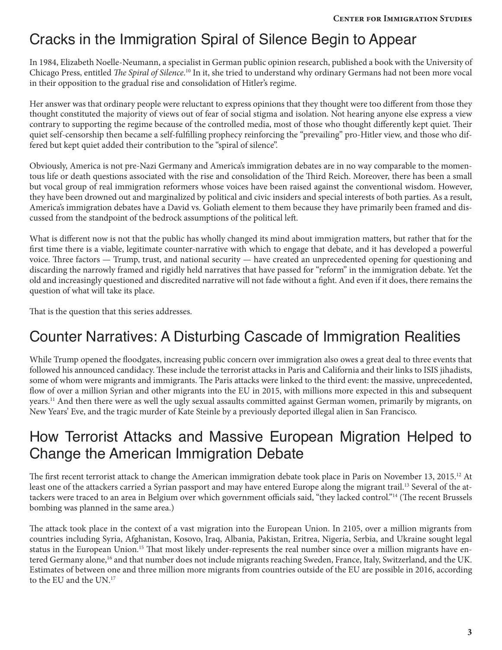## Cracks in the Immigration Spiral of Silence Begin to Appear

In 1984, Elizabeth Noelle-Neumann, a specialist in German public opinion research, published a book with the University of Chicago Press, entitled *The Spiral of Silence*. 10 In it, she tried to understand why ordinary Germans had not been more vocal in their opposition to the gradual rise and consolidation of Hitler's regime.

Her answer was that ordinary people were reluctant to express opinions that they thought were too different from those they thought constituted the majority of views out of fear of social stigma and isolation. Not hearing anyone else express a view contrary to supporting the regime because of the controlled media, most of those who thought differently kept quiet. Their quiet self-censorship then became a self-fulfilling prophecy reinforcing the "prevailing" pro-Hitler view, and those who differed but kept quiet added their contribution to the "spiral of silence".

Obviously, America is not pre-Nazi Germany and America's immigration debates are in no way comparable to the momentous life or death questions associated with the rise and consolidation of the Third Reich. Moreover, there has been a small but vocal group of real immigration reformers whose voices have been raised against the conventional wisdom. However, they have been drowned out and marginalized by political and civic insiders and special interests of both parties. As a result, America's immigration debates have a David vs. Goliath element to them because they have primarily been framed and discussed from the standpoint of the bedrock assumptions of the political left.

What is different now is not that the public has wholly changed its mind about immigration matters, but rather that for the first time there is a viable, legitimate counter-narrative with which to engage that debate, and it has developed a powerful voice. Three factors — Trump, trust, and national security — have created an unprecedented opening for questioning and discarding the narrowly framed and rigidly held narratives that have passed for "reform" in the immigration debate. Yet the old and increasingly questioned and discredited narrative will not fade without a fight. And even if it does, there remains the question of what will take its place.

That is the question that this series addresses.

#### Counter Narratives: A Disturbing Cascade of Immigration Realities

While Trump opened the floodgates, increasing public concern over immigration also owes a great deal to three events that followed his announced candidacy. These include the terrorist attacks in Paris and California and their links to ISIS jihadists, some of whom were migrants and immigrants. The Paris attacks were linked to the third event: the massive, unprecedented, flow of over a million Syrian and other migrants into the EU in 2015, with millions more expected in this and subsequent years.11 And then there were as well the ugly sexual assaults committed against German women, primarily by migrants, on New Years' Eve, and the tragic murder of Kate Steinle by a previously deported illegal alien in San Francisco.

#### How Terrorist Attacks and Massive European Migration Helped to Change the American Immigration Debate

The first recent terrorist attack to change the American immigration debate took place in Paris on November 13, 2015.12 At least one of the attackers carried a Syrian passport and may have entered Europe along the migrant trail.<sup>13</sup> Several of the attackers were traced to an area in Belgium over which government officials said, "they lacked control."14 (The recent Brussels bombing was planned in the same area.)

The attack took place in the context of a vast migration into the European Union. In 2105, over a million migrants from countries including Syria, Afghanistan, Kosovo, Iraq, Albania, Pakistan, Eritrea, Nigeria, Serbia, and Ukraine sought legal status in the European Union.<sup>15</sup> That most likely under-represents the real number since over a million migrants have entered Germany alone,<sup>16</sup> and that number does not include migrants reaching Sweden, France, Italy, Switzerland, and the UK. Estimates of between one and three million more migrants from countries outside of the EU are possible in 2016, according to the EU and the UN.17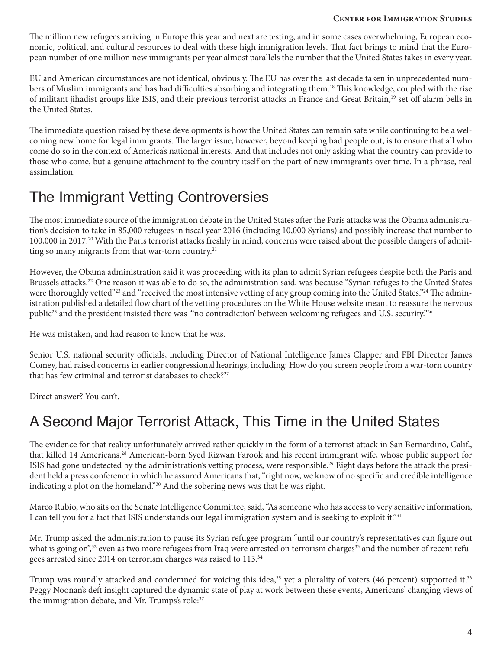#### **Center for Immigration Studies**

The million new refugees arriving in Europe this year and next are testing, and in some cases overwhelming, European economic, political, and cultural resources to deal with these high immigration levels. That fact brings to mind that the European number of one million new immigrants per year almost parallels the number that the United States takes in every year.

EU and American circumstances are not identical, obviously. The EU has over the last decade taken in unprecedented numbers of Muslim immigrants and has had difficulties absorbing and integrating them.18 This knowledge, coupled with the rise of militant jihadist groups like ISIS, and their previous terrorist attacks in France and Great Britain,<sup>19</sup> set off alarm bells in the United States.

The immediate question raised by these developments is how the United States can remain safe while continuing to be a welcoming new home for legal immigrants. The larger issue, however, beyond keeping bad people out, is to ensure that all who come do so in the context of America's national interests. And that includes not only asking what the country can provide to those who come, but a genuine attachment to the country itself on the part of new immigrants over time. In a phrase, real assimilation.

### The Immigrant Vetting Controversies

The most immediate source of the immigration debate in the United States after the Paris attacks was the Obama administration's decision to take in 85,000 refugees in fiscal year 2016 (including 10,000 Syrians) and possibly increase that number to 100,000 in 2017.<sup>20</sup> With the Paris terrorist attacks freshly in mind, concerns were raised about the possible dangers of admitting so many migrants from that war-torn country.<sup>21</sup>

However, the Obama administration said it was proceeding with its plan to admit Syrian refugees despite both the Paris and Brussels attacks.<sup>22</sup> One reason it was able to do so, the administration said, was because "Syrian refuges to the United States were thoroughly vetted"<sup>23</sup> and "received the most intensive vetting of any group coming into the United States."<sup>24</sup> The administration published a detailed flow chart of the vetting procedures on the White House website meant to reassure the nervous public<sup>25</sup> and the president insisted there was ""no contradiction' between welcoming refugees and U.S. security."<sup>26</sup>

He was mistaken, and had reason to know that he was.

Senior U.S. national security officials, including Director of National Intelligence James Clapper and FBI Director James Comey, had raised concerns in earlier congressional hearings, including: How do you screen people from a war-torn country that has few criminal and terrorist databases to check?<sup>27</sup>

Direct answer? You can't.

## A Second Major Terrorist Attack, This Time in the United States

The evidence for that reality unfortunately arrived rather quickly in the form of a terrorist attack in San Bernardino, Calif., that killed 14 Americans.<sup>28</sup> American-born Syed Rizwan Farook and his recent immigrant wife, whose public support for ISIS had gone undetected by the administration's vetting process, were responsible.29 Eight days before the attack the president held a press conference in which he assured Americans that, "right now, we know of no specific and credible intelligence indicating a plot on the homeland."<sup>30</sup> And the sobering news was that he was right.

Marco Rubio, who sits on the Senate Intelligence Committee, said, "As someone who has access to very sensitive information, I can tell you for a fact that ISIS understands our legal immigration system and is seeking to exploit it."31

Mr. Trump asked the administration to pause its Syrian refugee program "until our country's representatives can figure out what is going on",<sup>32</sup> even as two more refugees from Iraq were arrested on terrorism charges<sup>33</sup> and the number of recent refugees arrested since 2014 on terrorism charges was raised to 113.<sup>34</sup>

Trump was roundly attacked and condemned for voicing this idea, $35$  yet a plurality of voters (46 percent) supported it. $36$ Peggy Noonan's deft insight captured the dynamic state of play at work between these events, Americans' changing views of the immigration debate, and Mr. Trumps's role:<sup>37</sup>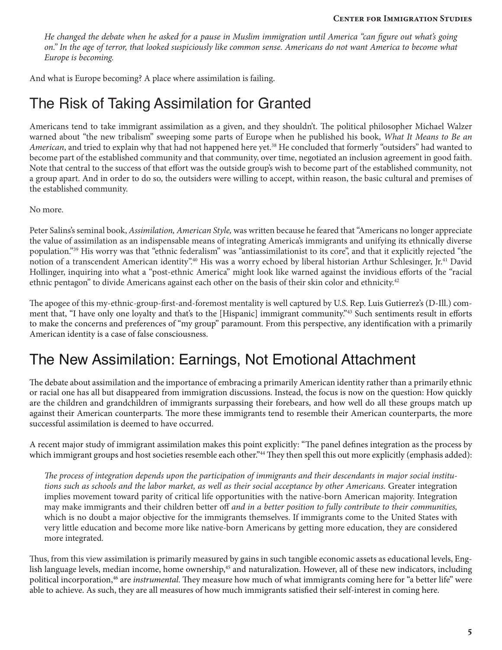*He changed the debate when he asked for a pause in Muslim immigration until America "can figure out what's going on.*" In the age of terror, that looked suspiciously like common sense. Americans do not want America to become what *Europe is becoming.*

And what is Europe becoming? A place where assimilation is failing.

### The Risk of Taking Assimilation for Granted

Americans tend to take immigrant assimilation as a given, and they shouldn't. The political philosopher Michael Walzer warned about "the new tribalism" sweeping some parts of Europe when he published his book, *What It Means to Be an*  American, and tried to explain why that had not happened here yet.<sup>38</sup> He concluded that formerly "outsiders" had wanted to become part of the established community and that community, over time, negotiated an inclusion agreement in good faith. Note that central to the success of that effort was the outside group's wish to become part of the established community, not a group apart. And in order to do so, the outsiders were willing to accept, within reason, the basic cultural and premises of the established community.

No more.

Peter Salins's seminal book, *Assimilation, American Style,* was written because he feared that "Americans no longer appreciate the value of assimilation as an indispensable means of integrating America's immigrants and unifying its ethnically diverse population."39 His worry was that "ethnic federalism" was "antiassimilationist to its core", and that it explicitly rejected "the notion of a transcendent American identity".<sup>40</sup> His was a worry echoed by liberal historian Arthur Schlesinger, Jr.<sup>41</sup> David Hollinger, inquiring into what a "post-ethnic America" might look like warned against the invidious efforts of the "racial ethnic pentagon" to divide Americans against each other on the basis of their skin color and ethnicity.42

The apogee of this my-ethnic-group-first-and-foremost mentality is well captured by U.S. Rep. Luis Gutierrez's (D-Ill.) comment that, "I have only one loyalty and that's to the [Hispanic] immigrant community."<sup>43</sup> Such sentiments result in efforts to make the concerns and preferences of "my group" paramount. From this perspective, any identification with a primarily American identity is a case of false consciousness.

#### The New Assimilation: Earnings, Not Emotional Attachment

The debate about assimilation and the importance of embracing a primarily American identity rather than a primarily ethnic or racial one has all but disappeared from immigration discussions. Instead, the focus is now on the question: How quickly are the children and grandchildren of immigrants surpassing their forebears, and how well do all these groups match up against their American counterparts. The more these immigrants tend to resemble their American counterparts, the more successful assimilation is deemed to have occurred.

A recent major study of immigrant assimilation makes this point explicitly: "The panel defines integration as the process by which immigrant groups and host societies resemble each other."<sup>44</sup> They then spell this out more explicitly (emphasis added):

*The process of integration depends upon the participation of immigrants and their descendants in major social institutions such as schools and the labor market, as well as their social acceptance by other Americans.* Greater integration implies movement toward parity of critical life opportunities with the native-born American majority. Integration may make immigrants and their children better off *and in a better position to fully contribute to their communities,*  which is no doubt a major objective for the immigrants themselves. If immigrants come to the United States with very little education and become more like native-born Americans by getting more education, they are considered more integrated*.*

Thus, from this view assimilation is primarily measured by gains in such tangible economic assets as educational levels, English language levels, median income, home ownership,<sup>45</sup> and naturalization. However, all of these new indicators, including political incorporation,46 are *instrumental*. They measure how much of what immigrants coming here for "a better life" were able to achieve. As such, they are all measures of how much immigrants satisfied their self-interest in coming here.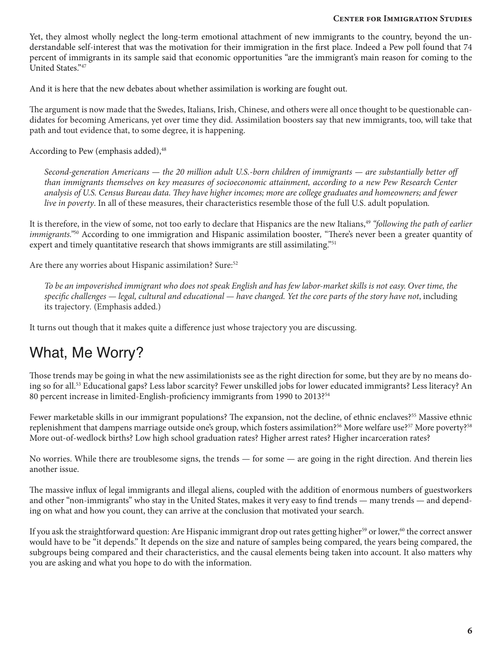Yet, they almost wholly neglect the long-term emotional attachment of new immigrants to the country, beyond the understandable self-interest that was the motivation for their immigration in the first place. Indeed a Pew poll found that 74 percent of immigrants in its sample said that economic opportunities "are the immigrant's main reason for coming to the United States."47

And it is here that the new debates about whether assimilation is working are fought out.

The argument is now made that the Swedes, Italians, Irish, Chinese, and others were all once thought to be questionable candidates for becoming Americans, yet over time they did. Assimilation boosters say that new immigrants, too, will take that path and tout evidence that, to some degree, it is happening.

According to Pew (emphasis added),<sup>48</sup>

*Second-generation Americans — the 20 million adult U.S.-born children of immigrants — are substantially better off than immigrants themselves on key measures of socioeconomic attainment, according to a new Pew Research Center analysis of U.S. Census Bureau data. They have higher incomes; more are college graduates and homeowners; and fewer live in poverty*. In all of these measures, their characteristics resemble those of the full U.S. adult population*.*

It is therefore, in the view of some, not too early to declare that Hispanics are the new Italians,<sup>49</sup> "following the path of earlier *immigrants."*<sup>50</sup> According to one immigration and Hispanic assimilation booster*,* "There's never been a greater quantity of expert and timely quantitative research that shows immigrants are still assimilating."<sup>51</sup>

Are there any worries about Hispanic assimilation? Sure:<sup>52</sup>

*To be an impoverished immigrant who does not speak English and has few labor-market skills is not easy. Over time, the specific challenges — legal, cultural and educational — have changed. Yet the core parts of the story have not*, including its trajectory*.* (Emphasis added.)

It turns out though that it makes quite a difference just whose trajectory you are discussing.

## What, Me Worry?

Those trends may be going in what the new assimilationists see as the right direction for some, but they are by no means doing so for all.53 Educational gaps? Less labor scarcity? Fewer unskilled jobs for lower educated immigrants? Less literacy? An 80 percent increase in limited-English-proficiency immigrants from 1990 to 2013?<sup>54</sup>

Fewer marketable skills in our immigrant populations? The expansion, not the decline, of ethnic enclaves?<sup>55</sup> Massive ethnic replenishment that dampens marriage outside one's group, which fosters assimilation?<sup>56</sup> More welfare use?<sup>57</sup> More poverty?<sup>58</sup> More out-of-wedlock births? Low high school graduation rates? Higher arrest rates? Higher incarceration rates?

No worries. While there are troublesome signs, the trends — for some — are going in the right direction. And therein lies another issue.

The massive influx of legal immigrants and illegal aliens, coupled with the addition of enormous numbers of guestworkers and other "non-immigrants" who stay in the United States, makes it very easy to find trends — many trends — and depending on what and how you count, they can arrive at the conclusion that motivated your search.

If you ask the straightforward question: Are Hispanic immigrant drop out rates getting higher<sup>59</sup> or lower,<sup>60</sup> the correct answer would have to be "it depends." It depends on the size and nature of samples being compared, the years being compared, the subgroups being compared and their characteristics, and the causal elements being taken into account. It also matters why you are asking and what you hope to do with the information.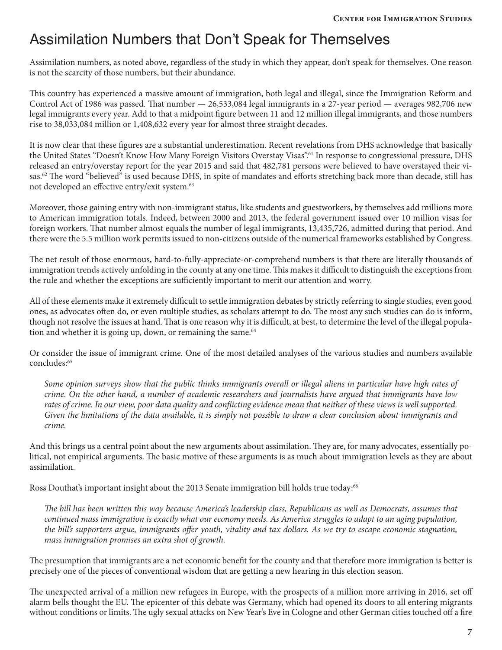### Assimilation Numbers that Don't Speak for Themselves

Assimilation numbers, as noted above, regardless of the study in which they appear, don't speak for themselves. One reason is not the scarcity of those numbers, but their abundance.

This country has experienced a massive amount of immigration, both legal and illegal, since the Immigration Reform and Control Act of 1986 was passed. That number — 26,533,084 legal immigrants in a 27-year period — averages 982,706 new legal immigrants every year. Add to that a midpoint figure between 11 and 12 million illegal immigrants, and those numbers rise to 38,033,084 million or 1,408,632 every year for almost three straight decades.

It is now clear that these figures are a substantial underestimation. Recent revelations from DHS acknowledge that basically the United States "Doesn't Know How Many Foreign Visitors Overstay Visas".<sup>61</sup> In response to congressional pressure, DHS released an entry/overstay report for the year 2015 and said that 482,781 persons were believed to have overstayed their visas.<sup>62</sup> The word "believed" is used because DHS, in spite of mandates and efforts stretching back more than decade, still has not developed an effective entry/exit system.<sup>63</sup>

Moreover, those gaining entry with non-immigrant status, like students and guestworkers, by themselves add millions more to American immigration totals. Indeed, between 2000 and 2013, the federal government issued over 10 million visas for foreign workers. That number almost equals the number of legal immigrants, 13,435,726, admitted during that period. And there were the 5.5 million work permits issued to non-citizens outside of the numerical frameworks established by Congress.

The net result of those enormous, hard-to-fully-appreciate-or-comprehend numbers is that there are literally thousands of immigration trends actively unfolding in the county at any one time. This makes it difficult to distinguish the exceptions from the rule and whether the exceptions are sufficiently important to merit our attention and worry.

All of these elements make it extremely difficult to settle immigration debates by strictly referring to single studies, even good ones, as advocates often do, or even multiple studies, as scholars attempt to do. The most any such studies can do is inform, though not resolve the issues at hand. That is one reason why it is difficult, at best, to determine the level of the illegal population and whether it is going up, down, or remaining the same.<sup>64</sup>

Or consider the issue of immigrant crime. One of the most detailed analyses of the various studies and numbers available concludes:<sup>65</sup>

*Some opinion surveys show that the public thinks immigrants overall or illegal aliens in particular have high rates of crime. On the other hand, a number of academic researchers and journalists have argued that immigrants have low rates of crime. In our view, poor data quality and conflicting evidence mean that neither of these views is well supported. Given the limitations of the data available, it is simply not possible to draw a clear conclusion about immigrants and crime.*

And this brings us a central point about the new arguments about assimilation. They are, for many advocates, essentially political, not empirical arguments. The basic motive of these arguments is as much about immigration levels as they are about assimilation.

Ross Douthat's important insight about the 2013 Senate immigration bill holds true today:<sup>66</sup>

*The bill has been written this way because America's leadership class, Republicans as well as Democrats, assumes that continued mass immigration is exactly what our economy needs. As America struggles to adapt to an aging population, the bill's supporters argue, immigrants offer youth, vitality and tax dollars. As we try to escape economic stagnation, mass immigration promises an extra shot of growth.*

The presumption that immigrants are a net economic benefit for the county and that therefore more immigration is better is precisely one of the pieces of conventional wisdom that are getting a new hearing in this election season.

The unexpected arrival of a million new refugees in Europe, with the prospects of a million more arriving in 2016, set off alarm bells thought the EU. The epicenter of this debate was Germany, which had opened its doors to all entering migrants without conditions or limits. The ugly sexual attacks on New Year's Eve in Cologne and other German cities touched off a fire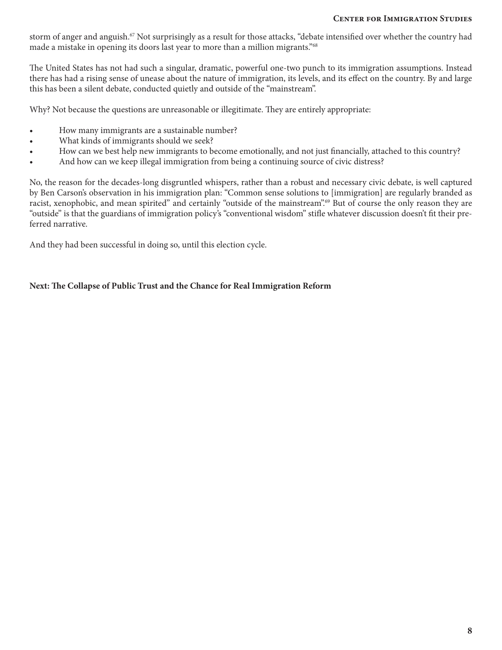#### **Center for Immigration Studies**

storm of anger and anguish.<sup>67</sup> Not surprisingly as a result for those attacks, "debate intensified over whether the country had made a mistake in opening its doors last year to more than a million migrants."68

The United States has not had such a singular, dramatic, powerful one-two punch to its immigration assumptions. Instead there has had a rising sense of unease about the nature of immigration, its levels, and its effect on the country. By and large this has been a silent debate, conducted quietly and outside of the "mainstream".

Why? Not because the questions are unreasonable or illegitimate. They are entirely appropriate:

- How many immigrants are a sustainable number?
- What kinds of immigrants should we seek?
- How can we best help new immigrants to become emotionally, and not just financially, attached to this country?
- And how can we keep illegal immigration from being a continuing source of civic distress?

No, the reason for the decades-long disgruntled whispers, rather than a robust and necessary civic debate, is well captured by Ben Carson's observation in his immigration plan: "Common sense solutions to [immigration] are regularly branded as racist, xenophobic, and mean spirited" and certainly "outside of the mainstream".69 But of course the only reason they are "outside" is that the guardians of immigration policy's "conventional wisdom" stifle whatever discussion doesn't fit their preferred narrative.

And they had been successful in doing so, until this election cycle.

#### **Next: The Collapse of Public Trust and the Chance for Real Immigration Reform**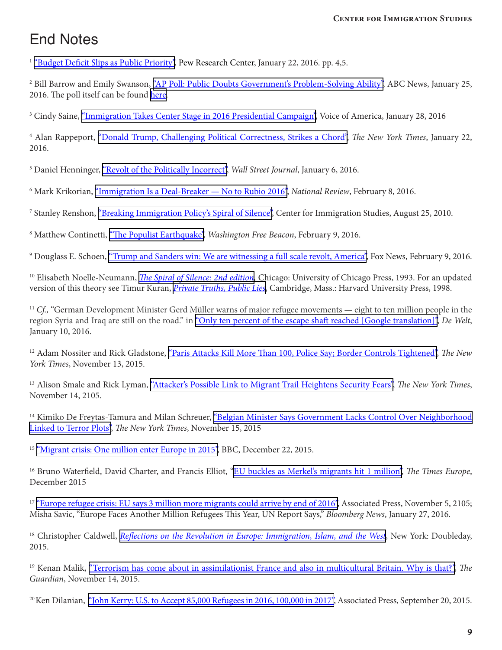## End Notes

<sup>1</sup> ["Budget Deficit Slips as Public Priority",](http://www.people-press.org/2016/01/22/budget-deficit-slips-as-public-priority/) Pew Research Center, January 22, 2016. pp. 4,5.

<sup>2</sup> Bill Barrow and Emily Swanson, <u>["AP Poll: Public Doubts Government's Problem-Solving Ability"](http://bigstory.ap.org/article/8d06764f48394852bdcd0a6a316cc018/ap-poll-public-doubts-governments-problem-solving-ability),</u> ABC News, January 25, 2016. The poll itself can be found [here.](http://www.apnorc.org/PDFs/American%20Priorities/2016-01%20Priorties%20Report.pdf)

<sup>3</sup> Cindy Saine, <u>["Immigration Takes Center Stage in 2016 Presidential Campaign"](http://www.voanews.com/content/immigration-center-stage-presidential-campaign/3167249.html),</u> Voice of America, January 28, 2016

4 Alan Rappeport, ["Donald Trump, Challenging Political Correctness, Strikes a Chord"](http://www.nytimes.com/politics/first-draft/2016/01/22/donald-trump-challenging-political-correctness-strikes-a-chord/), *The New York Times*, January 22, 2016.

<sup>5</sup> Daniel Henninger, <u>"Revolt of the Politically Incorrect"</u>, *Wall Street Journal*, January 6, 2016.

6 Mark Krikorian, ["Immigration Is a Deal-Breaker — No to Rubio 2016"](http://www.nationalreview.com/article/430926/marco-rubio-immigration-wrong-2016), *National Review*, February 8, 2016.

<sup>7</sup> Stanley Renshon, <u>["Breaking Immigration Policy's Spiral of Silence"](http://cis.org/renshon/spiral-of-silence),</u> Center for Immigration Studies, August 25, 2010.

<sup>8</sup> Matthew Continetti, <u>["The Populist Earthquake"](http://freebeacon.com/columns/the-populist-earthquake/),</u> Washington Free Beacon, February 9, 2016.

<sup>9</sup> Douglass E. Schoen, <u>["Trump and Sanders win: We are witnessing a full scale revolt, America",](http://www.foxnews.com/opinion/2016/02/09/trump-and-sanders-win-in-nh-trump-and-sanders-win-are-witnessing-full-scale-revolt-america.html) Fox News, February 9, 2016.</u>

<sup>10</sup> Elisabeth Noelle-Neumann, *[The Spiral of Silence: 2nd edition,](http://www.amazon.com/exec/obidos/ASIN/0226589366/centerforimmigra)* Chicago: University of Chicago Press, 1993. For an updated version of this theory see Timur Kuran, *[Private Truths, Public Lies](http://www.amazon.com/exec/obidos/ASIN/0674707583/centerforimmigra)*, Cambridge, Mass.: Harvard University Press, 1998.

<sup>11</sup> *Cf.,* "German Development Minister Gerd Müller warns of major refugee movements — eight to ten million people in the region Syria and Iraq are still on the road." in ["Only ten percent of the escape shaft reached \[Google translation\]"](http://www.welt.de/politik/deutschland/article150814404/Erst-zehn-Prozent-der-Fluchtwelle-angekommen.html), *De Welt*, January 10, 2016.

12 Adam Nossiter and Rick Gladstone, ["Paris Attacks Kill More Than 100, Police Say; Border Controls Tightened"](http://www.nytimes.com/2015/11/14/world/europe/paris-shooting-attacks.html), *The New York Times*, November 13, 2015.

13 Alison Smale and Rick Lyman, ["Attacker's Possible Link to Migrant Trail Heightens Security Fears"](http://www.nytimes.com/2015/11/15/world/europe/attackers-possible-link-to-migrant-trail-heightens-security-fears.html), *The New York Times*, November 14, 2105.

<sup>14</sup> Kimiko De Freytas-Tamura and Milan Schreuer, ["Belgian Minister Says Government Lacks Control Over Neighborhood](http://www.nytimes.com/live/paris-attacks-live-updates/belgium-doesnt-have-control-over-molenbeek-interior-minister-says/) [Linked to Terror Plots"](http://www.nytimes.com/live/paris-attacks-live-updates/belgium-doesnt-have-control-over-molenbeek-interior-minister-says/), *The New York Times*, November 15, 2015

<sup>15</sup> ["Migrant crisis: One million enter Europe in 2015"](http://www.bbc.com/news/world-europe-35158769), BBC, December 22, 2015.

<sup>16</sup> Bruno Waterfield, David Charter, and Francis Elliot, "[EU buckles as Merkel's migrants hit 1 million",](http://www.thetimes.co.uk/tto/news/world/europe/article4637155.ece) *The Times Europe*, December 2015

<sup>17</sup> ["Europe refugee crisis: EU says 3 million more migrants could arrive by end of 2016",](http://www.cbc.ca/news/world/europe-eu-migrants-1.3305088) Associated Press, November 5, 2105; Misha Savic, "Europe Faces Another Million Refugees This Year, UN Report Says," *Bloomberg News*, January 27, 2016.

<sup>18</sup> Christopher Caldwell, *[Reflections on the Revolution in Europe: Immigration, Islam, and the West](http://www.amazon.com/exec/obidos/ASIN/0385518269/centerforimmigra)*, New York: Doubleday, 2015.

19 Kenan Malik, ["Terrorism has come about in assimilationist France and also in multicultural Britain. Why is that?",](http://www.theguardian.com/commentisfree/2015/nov/15/multiculturalism-assimilation-britain-france) *The Guardian*, November 14, 2015.

<sup>20</sup> Ken Dilanian, ["John Kerry: U.S. to Accept 85,000 Refugees in 2016, 100,000 in 2017"](http://bigstory.ap.org/article/35632cd13de1432fb0a6f3b3e491f7f4/kerry-us-accept-85000-refugees-2016-100000-2017), Associated Press, September 20, 2015.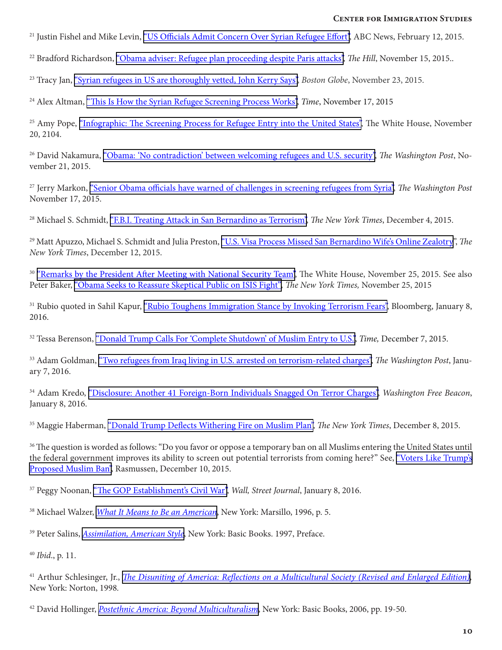<sup>21</sup> Justin Fishel and Mike Levin, ["US Officials Admit Concern Over Syrian Refugee Effort"](http://abcnews.go.com/International/officials-fear-syrian-refugees-pose-threat-us/story?id=28930114), ABC News, February 12, 2015.

<sup>22</sup> Bradford Richardson, <u>"Obama adviser: Refugee plan proceeding despite Paris attacks"</u>, *The Hill*, November 15, 2015..

23 Tracy Jan, ["Syrian refugees in US are thoroughly vetted, John Kerry Says",](https://www.bostonglobe.com/news/politics/2015/11/23/john-kerry-outlines-syrian-refugee-vetting-procedures-letter-charlie-baker-and-other-governors/uEMgaj4nzGY0DDjYL8a2uK/story.html) *Boston Globe*, November 23, 2015.

24 Alex Altman, ["This Is How the Syrian Refugee Screening Process Works"](http://time.com/4116619/syrian-refugees-screening-process/), *Time*, November 17, 2015

<sup>25</sup> Amy Pope, ["Infographic: The Screening Process for Refugee Entry into the United States",](https://www.whitehouse.gov/blog/2015/11/20/infographic-screening-process-refugee-entry-united-states) The White House, November 20, 2104.

26 David Nakamura, ["Obama: 'No contradiction' between welcoming refugees and U.S. security"](https://www.washingtonpost.com/politics/obama-no-contradiction-between-welcoming-refugees-and-us-security/2015/11/21/2a3f1486-900c-11e5-ae1f-af46b7df8483_story.html), *The Washington Post*, November 21, 2015.

27 Jerry Markon, ["Senior Obama officials have warned of challenges in screening refugees from Syria",](https://www.washingtonpost.com/news/federal-eye/wp/2015/11/17/senior-obama-officials-have-warned-of-challenges-in-screening-refugees-from-syria/) *The Washington Post* November 17, 2015.

28 Michael S. Schmidt, ["F.B.I. Treating Attack in San Bernardino as Terrorism",](http://www.nytimes.com/2015/12/05/us/tashfeen-malik-islamic-state.html) *The New York Times*, December 4, 2015.

29 Matt Apuzzo, Michael S. Schmidt and Julia Preston, ["U.S. Visa Process Missed San Bernardino Wife's Online Zealotry](http://www.nytimes.com/2015/12/13/us/san-bernardino-attacks-us-visa-process-tashfeen-maliks-remarks-on-social-media-about-jihad-were-missed.html)", *The New York Times*, December 12, 2015.

<sup>30</sup> ["Remarks by the President After Meeting with National Security Team",](https://www.whitehouse.gov/the-press-office/2015/11/25/remarks-president-after-meeting-national-security-team) The White House, November 25, 2015. See also Peter Baker, ["Obama Seeks to Reassure Skeptical Public on ISIS Fight"](http://www.nytimes.com/2015/11/26/us/politics/obama-terrorism-response-paris-attacks-thanksgiving-america-safety.html)*, The New York Times,* November 25, 2015

<sup>31</sup> Rubio quoted in Sahil Kapur, ["Rubio Toughens Immigration Stance by Invoking Terrorism Fears"](http://www.bloomberg.com/politics/articles/2016-01-08/marco-rubio-toughens-immigration-stance-by-invoking-terrorism-fears), Bloomberg, January 8, 2016.

<sup>32</sup> Tessa Berenson, ["Donald Trump Calls For 'Complete Shutdown' of Muslim Entry to U.S."](http://time.com/4139476/donald-trump-shutdown-muslim-immigration/), *Time*, December 7, 2015.

33 Adam Goldman, ["Two refugees from Iraq living in U.S. arrested on terrorism-related charges",](https://www.washingtonpost.com/news/post-nation/wp/2016/01/07/two-refugees-from-iraq-living-in-u-s-arrested-on-terrorism-related-charges/) *The Washington Post*, January 7, 2016.

34 Adam Kredo, ["Disclosure: Another 41 Foreign-Born Individuals Snagged On Terror Charges"](http://freebeacon.com/national-security/disclosure-another-41-foreign-born-individuals-snagged-on-terror-charges/), *Washington Free Beacon*, January 8, 2016.

35 Maggie Haberman, ["Donald Trump Deflects Withering Fire on Muslim Plan",](http://www.nytimes.com/2015/12/09/us/politics/donald-trump-muslims.html) *The New York Times*, December 8, 2015.

<sup>36</sup> The question is worded as follows: "Do you favor or oppose a temporary ban on all Muslims entering the United States until the federal government improves its ability to screen out potential terrorists from coming here?" See, ["Voters Like Trump's](http://www.rasmussenreports.com/public_content/politics/current_events/immigration/december_2015/voters_like_trump_s_proposed_muslim_ban)  [Proposed Muslim Ban",](http://www.rasmussenreports.com/public_content/politics/current_events/immigration/december_2015/voters_like_trump_s_proposed_muslim_ban) Rasmussen, December 10, 2015.

<sup>37</sup> Peggy Noonan, ["The GOP Establishment's Civil War"](http://www.wsj.com/articles/the-gop-establishments-civil-war-1452212775), *Wall, Street Journal*, January 8, 2016.

38 Michael Walzer, *[What It Means to Be an American](http://www.amazon.com/exec/obidos/ASIN/1568860250/centerforimmigra)*, New York: Marsillo, 1996, p. 5.

39 Peter Salins, *[Assimilation, American Style](http://www.amazon.com/exec/obidos/ASIN/0465098177/centerforimmigra)*, New York: Basic Books. 1997, Preface.

<sup>40</sup> *Ibid*., p. 11.

41 Arthur Schlesinger, Jr., *[The Disuniting of America: Reflections on a Multicultural Society \(Revised and Enlarged Edition\)](http://www.amazon.com/exec/obidos/ASIN/0393318540/centerforimmigra),*  New York: Norton, 1998*.* 

42 David Hollinger, *[Postethnic America: Beyond Multiculturalism](http://www.amazon.com/exec/obidos/ASIN/0465030653/centerforimmigra)*, New York: Basic Books, 2006, pp. 19-50.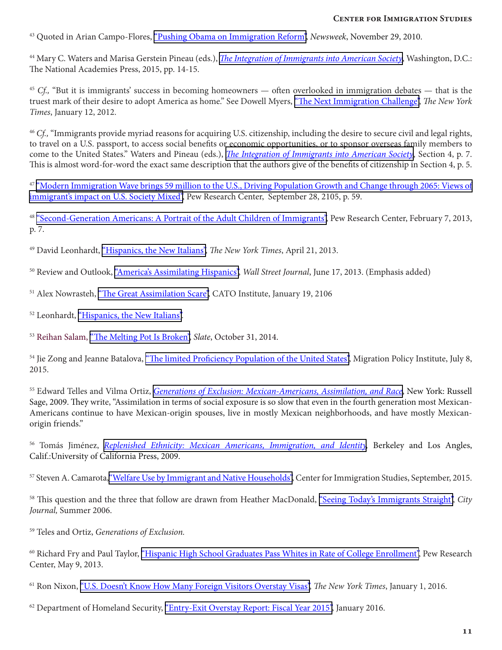<sup>43</sup> Quoted in Arian Campo-Flores, ["Pushing Obama on Immigration Reform"](http://www.newsweek.com/pushing-obama-immigration-reform-70093), *Newsweek*, November 29, 2010.

<sup>44</sup> Mary C. Waters and Marisa Gerstein Pineau (eds.), *[The Integration of Immigrants into American Society](http://www.nap.edu/catalog/21746/the-integration-of-immigrants-into-american-society)*, Washington, D.C.: The National Academies Press, 2015, pp. 14-15.

<sup>45</sup> *Cf.*, "But it is immigrants' success in becoming homeowners — often overlooked in immigration debates — that is the truest mark of their desire to adopt America as home." See Dowell Myers, ["The Next Immigration Challenge"](http://www.nytimes.com/2012/01/12/opinion/the-next-immigration-challenge.html), *The New York Times*, January 12, 2012.

<sup>46</sup> *Cf.,* "Immigrants provide myriad reasons for acquiring U.S. citizenship, including the desire to secure civil and legal rights, to travel on a U.S. passport, to access social benefits or economic opportunities, or to sponsor overseas family members to come to the United States." Waters and Pineau (eds.), *[The Integration of Immigrants into American Society](http://www.nap.edu/catalog/21746/the-integration-of-immigrants-into-american-society)*, Section 4, p. 7. This is almost word-for-word the exact same description that the authors give of the benefits of citizenship in Section 4, p. 5.

<sup>47</sup> ["Modern Immigration Wave brings 59 million to the U.S., Driving Population Growth and Change through 2065: Views of](http://www.pewhispanic.org/2015/09/28/modern-immigration-wave-brings-59-million-to-u-s-driving-population-growth-and-change-through-2065/) [immigrant's impact on U.S. Society Mixed"](http://www.pewhispanic.org/2015/09/28/modern-immigration-wave-brings-59-million-to-u-s-driving-population-growth-and-change-through-2065/), Pew Research Center, September 28, 2105, p. 59.

<sup>48</sup> ["Second-Generation Americans: A Portrait of the Adult Children of Immigrants",](http://www.pewsocialtrends.org/2013/02/07/second-generation-americans/) Pew Research Center, February 7, 2013, p. 7.

49 David Leonhardt, ["Hispanics, the New Italians",](http://www.nytimes.com/2013/04/21/sunday-review/hispanics-the-new-italians.html) *The New York Times*, April 21, 2013.

50 Review and Outlook, ["America's Assimilating Hispanics",](http://www.wsj.com/articles/SB10001424127887324787004578495393859698964) *Wall Street Journal*, June 17, 2013. (Emphasis added)

- <sup>51</sup> Alex Nowrasteh, ["The Great Assimilation Scare"](http://www.cato.org/blog/great-assimilation-scare), CATO Institute, January 19, 2106
- 52 Leonhardt, ["Hispanics, the New Italians"](http://www.nytimes.com/2013/04/21/sunday-review/hispanics-the-new-italians.html).

<sup>53</sup> Reihan Salam, ["The Melting Pot Is Broken"](http://www.slate.com/articles/news_and_politics/politics/2014/10/american_melting_pot_how_slowing_down_immigration_could_help_us_build_a.html), *Slate*, October 31, 2014.

<sup>54</sup> Jie Zong and Jeanne Batalova, ["The limited Proficiency Population of the United States",](http://www.migrationpolicy.org/article/limited-english-proficient-population-united-states) Migration Policy Institute, July 8, 2015.

<sup>55</sup> Edward Telles and Vilma Ortiz, *[Generations of Exclusion: Mexican-Americans, Assimilation, and Race](http://www.amazon.com/exec/obidos/ASIN/0871548496/centerforimmigra)*, New York: Russell Sage, 2009. They write, "Assimilation in terms of social exposure is so slow that even in the fourth generation most Mexican-Americans continue to have Mexican-origin spouses, live in mostly Mexican neighborhoods, and have mostly Mexicanorigin friends."

<sup>56</sup> Tomás Jiménez, *Replenished Ethnicity: Mexican Americans, Immigration, and Identity*, Berkeley and Los Angles, Calif.:University of California Press, 2009.

57 Steven A. Camarota, ["Welfare Use by Immigrant and Native Households"](http://cis.org/Welfare-Use-Immigrant-Native-Households), Center for Immigration Studies, September, 2015.

58 This question and the three that follow are drawn from Heather MacDonald, ["Seeing Today's Immigrants Straight",](http://www.city-journal.org/html/seeing-today%E2%80%99s-immigrants-straight-12947.html) *City Journal,* Summer 2006.

59 Teles and Ortiz, *Generations of Exclusion.*

60 Richard Fry and Paul Taylor, ["Hispanic High School Graduates Pass Whites in Rate of College Enrollment"](http://www.pewhispanic.org/2013/05/09/hispanic-high-school-graduates-pass-whites-in-rate-of-college-enrollment/), Pew Research Center, May 9, 2013.

61 Ron Nixon, ["U.S. Doesn't Know How Many Foreign Visitors Overstay Visas",](http://www.nytimes.com/2016/01/02/us/politics/us-doesnt-know-how-many-foreign-visitors-overstay-visas.html?_r=0) *The New York Times*, January 1, 2016.

 $62$  Department of Homeland Security, ["Entry-Exit Overstay Report: Fiscal Year 2015",](https://www.dhs.gov/sites/default/files/publications/FY%2015%20DHS%20Entry%20and%20Exit%20Overstay%20Report.pdf) January 2016.